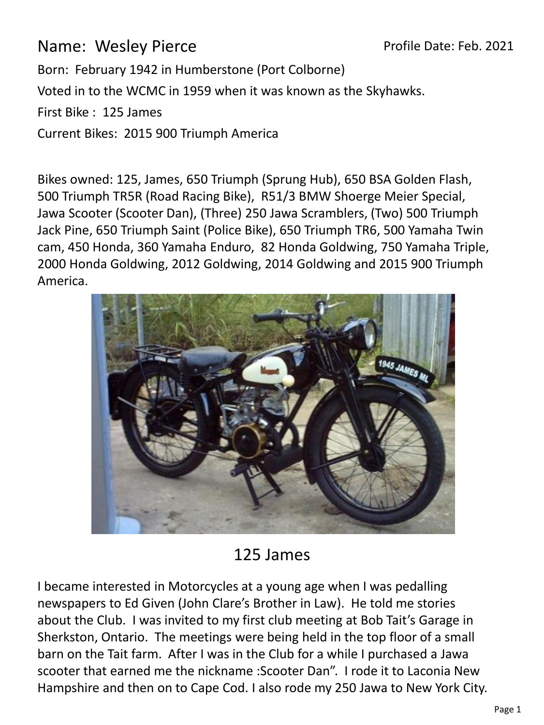Name: Wesley Pierce

Profile Date: Feb. 2021

Born: February 1942 in Humberstone (Port Colborne)

Voted in to the WCMC in 1959 when it was known as the Skyhawks.

First Bike : 125 James

Current Bikes: 2015 900 Triumph America

Bikes owned: 125, James, 650 Triumph (Sprung Hub), 650 BSA Golden Flash, 500 Triumph TR5R (Road Racing Bike), R51/3 BMW Shoerge Meier Special, Jawa Scooter (Scooter Dan), (Three) 250 Jawa Scramblers, (Two) 500 Triumph Jack Pine, 650 Triumph Saint (Police Bike), 650 Triumph TR6, 500 Yamaha Twin cam, 450 Honda, 360 Yamaha Enduro, 82 Honda Goldwing, 750 Yamaha Triple, 2000 Honda Goldwing, 2012 Goldwing, 2014 Goldwing and 2015 900 Triumph America.



## 125 James

I became interested in Motorcycles at a young age when I was pedalling newspapers to Ed Given (John Clare's Brother in Law). He told me stories about the Club. I was invited to my first club meeting at Bob Tait's Garage in Sherkston, Ontario. The meetings were being held in the top floor of a small barn on the Tait farm. After I was in the Club for a while I purchased a Jawa scooter that earned me the nickname :Scooter Dan". I rode it to Laconia New Hampshire and then on to Cape Cod. I also rode my 250 Jawa to New York City.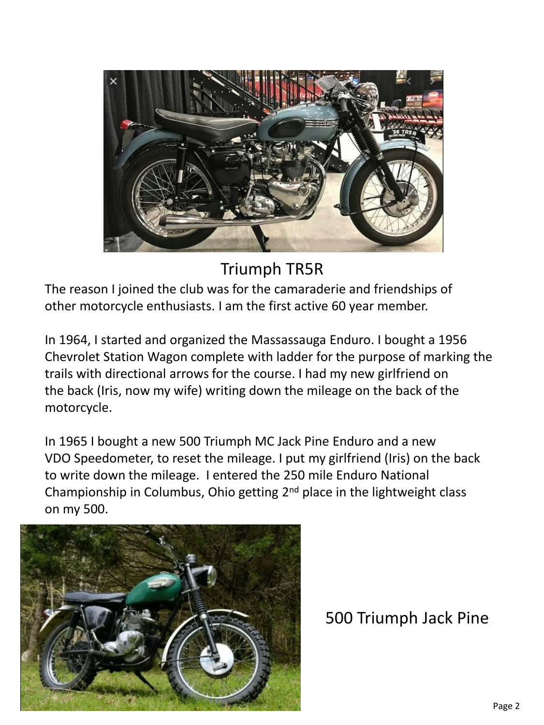

Triumph TR5R

The reason I joined the club was for the camaraderie and friendships of other motorcycle enthusiasts. I am the first active 60 year member.

In 1964, I started and organized the Massassauga Enduro. I bought a 1956 Chevrolet Station Wagon complete with ladder for the purpose of marking the trails with directional arrows for the course. I had my new girlfriend on the back (Iris, now my wife) writing down the mileage on the back of the motorcycle.

In 1965 I bought a new 500 Triumph MC Jack Pine Enduro and a new VDO Speedometer, to reset the mileage. I put my girlfriend (Iris) on the back to write down the mileage. I entered the 250 mile Enduro National Championship in Columbus, Ohio getting  $2<sup>nd</sup>$  place in the lightweight class on my 500.



500 Triumph Jack Pine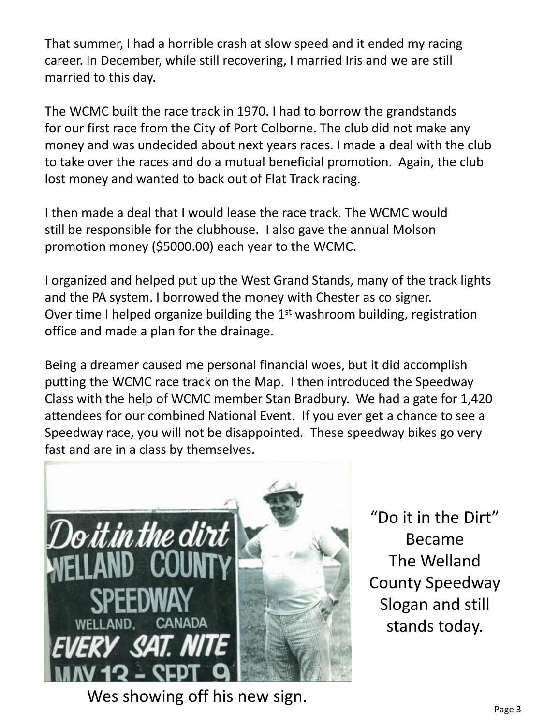That summer, I had a horrible crash at slow speed and it ended my racing career. In December, while still recovering, I married Iris and we are still married to this day.

The WCMC built the race track in 1970. I had to borrow the grandstands for our first race from the City of Port Colborne. The club did not make any money and was undecided about next years races. I made a deal with the club to take over the races and do a mutual beneficial promotion. Again, the club lost money and wanted to back out of Flat Track racing.

I then made a deal that I would lease the race track. The WCMC would still be responsible for the clubhouse. I also gave the annual Molson promotion money (\$5000.00) each year to the WCMC.

I organized and helped put up the West Grand Stands, many of the track lights and the PA system. I borrowed the money with Chester as co signer. Over time I helped organize building the  $1<sup>st</sup>$  washroom building, registration office and made a plan for the drainage.

Being a dreamer caused me personal financial woes, but it did accomplish putting the WCMC race track on the Map. I then introduced the Speedway Class with the help of WCMC member Stan Bradbury. We had a gate for 1,420 attendees for our combined National Event. If you ever get a chance to see a Speedway race, you will not be disappointed. These speedway bikes go very fast and are in a class by themselves.



"Do it in the Dirt" Became The Welland County Speedway Slogan and still stands today.

Wes showing off his new sign.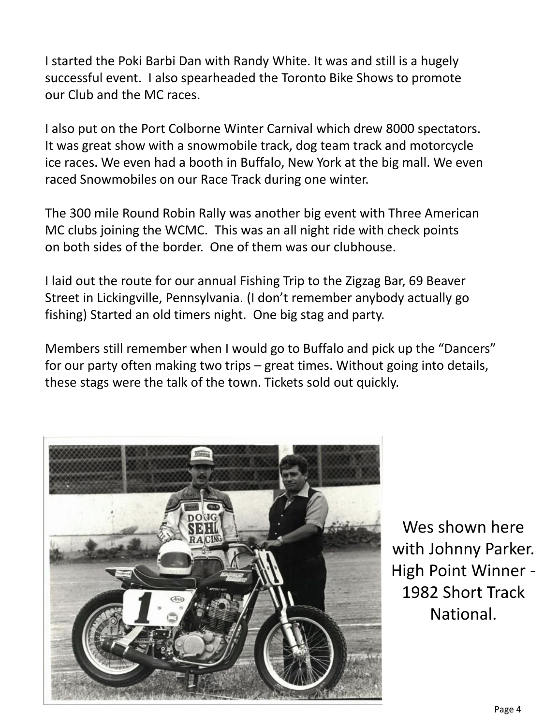I started the Poki Barbi Dan with Randy White. It was and still is a hugely successful event. I also spearheaded the Toronto Bike Shows to promote our Club and the MC races.

I also put on the Port Colborne Winter Carnival which drew 8000 spectators. It was great show with a snowmobile track, dog team track and motorcycle ice races. We even had a booth in Buffalo, New York at the big mall. We even raced Snowmobiles on our Race Track during one winter.

The 300 mile Round Robin Rally was another big event with Three American MC clubs joining the WCMC. This was an all night ride with check points on both sides of the border. One of them was our clubhouse.

I laid out the route for our annual Fishing Trip to the Zigzag Bar, 69 Beaver Street in Lickingville, Pennsylvania. (I don't remember anybody actually go fishing) Started an old timers night. One big stag and party.

Members still remember when I would go to Buffalo and pick up the "Dancers" for our party often making two trips – great times. Without going into details, these stags were the talk of the town. Tickets sold out quickly.



Wes shown here with Johnny Parker. High Point Winner - 1982 Short Track National.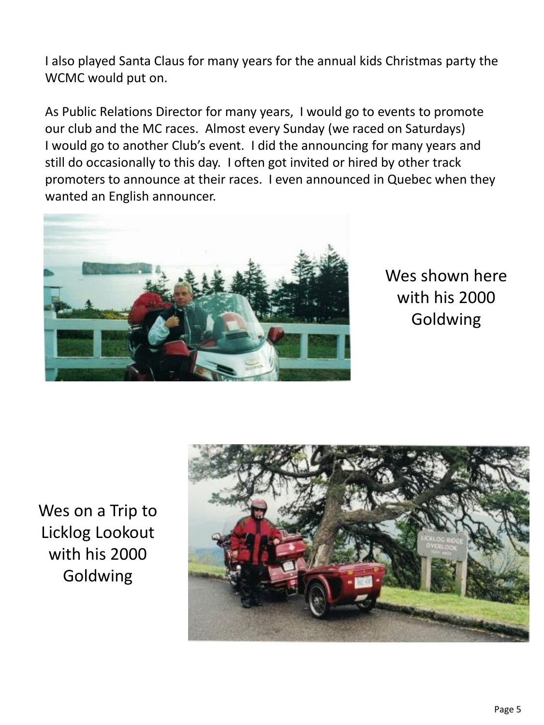I also played Santa Claus for many years for the annual kids Christmas party the WCMC would put on.

As Public Relations Director for many years, I would go to events to promote our club and the MC races. Almost every Sunday (we raced on Saturdays) I would go to another Club's event. I did the announcing for many years and still do occasionally to this day. I often got invited or hired by other track promoters to announce at their races. I even announced in Quebec when they wanted an English announcer.



Wes shown here with his 2000 Goldwing

Wes on a Trip to Licklog Lookout with his 2000 Goldwing

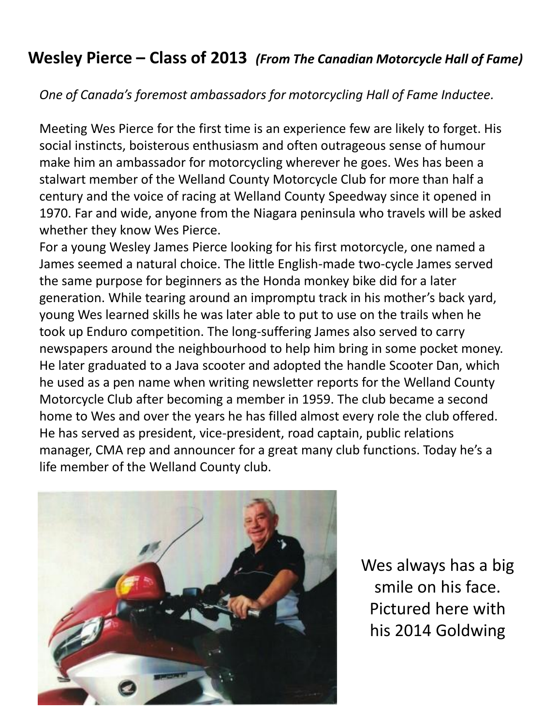## **Wesley Pierce – Class of 2013** *(From The Canadian Motorcycle Hall of Fame)*

*One of Canada's foremost ambassadors for motorcycling Hall of Fame Inductee.*

Meeting Wes Pierce for the first time is an experience few are likely to forget. His social instincts, boisterous enthusiasm and often outrageous sense of humour make him an ambassador for motorcycling wherever he goes. Wes has been a stalwart member of the Welland County Motorcycle Club for more than half a century and the voice of racing at Welland County Speedway since it opened in 1970. Far and wide, anyone from the Niagara peninsula who travels will be asked whether they know Wes Pierce.

For a young Wesley James Pierce looking for his first motorcycle, one named a James seemed a natural choice. The little English-made two-cycle James served the same purpose for beginners as the Honda monkey bike did for a later generation. While tearing around an impromptu track in his mother's back yard, young Wes learned skills he was later able to put to use on the trails when he took up Enduro competition. The long-suffering James also served to carry newspapers around the neighbourhood to help him bring in some pocket money. He later graduated to a Java scooter and adopted the handle Scooter Dan, which he used as a pen name when writing newsletter reports for the Welland County Motorcycle Club after becoming a member in 1959. The club became a second home to Wes and over the years he has filled almost every role the club offered. He has served as president, vice-president, road captain, public relations manager, CMA rep and announcer for a great many club functions. Today he's a life member of the Welland County club.



Wes always has a big smile on his face. Pictured here with his 2014 Goldwing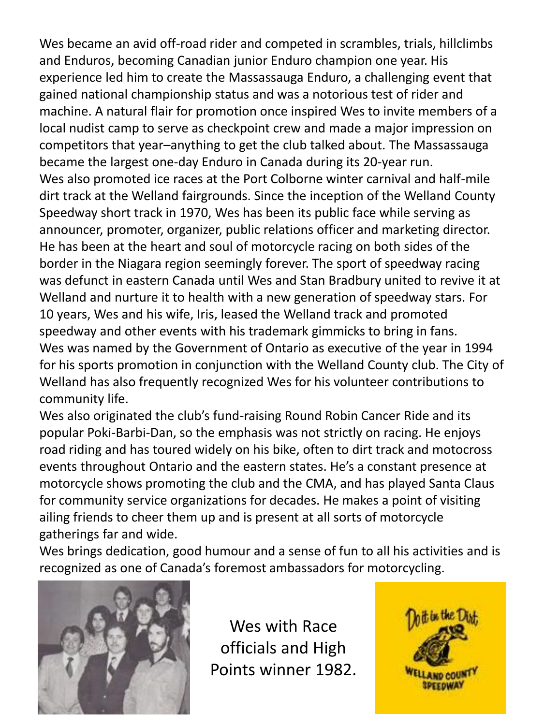Wes became an avid off-road rider and competed in scrambles, trials, hillclimbs and Enduros, becoming Canadian junior Enduro champion one year. His experience led him to create the Massassauga Enduro, a challenging event that gained national championship status and was a notorious test of rider and machine. A natural flair for promotion once inspired Wes to invite members of a local nudist camp to serve as checkpoint crew and made a major impression on competitors that year–anything to get the club talked about. The Massassauga became the largest one-day Enduro in Canada during its 20-year run. Wes also promoted ice races at the Port Colborne winter carnival and half-mile dirt track at the Welland fairgrounds. Since the inception of the Welland County Speedway short track in 1970, Wes has been its public face while serving as announcer, promoter, organizer, public relations officer and marketing director. He has been at the heart and soul of motorcycle racing on both sides of the border in the Niagara region seemingly forever. The sport of speedway racing was defunct in eastern Canada until Wes and Stan Bradbury united to revive it at Welland and nurture it to health with a new generation of speedway stars. For 10 years, Wes and his wife, Iris, leased the Welland track and promoted speedway and other events with his trademark gimmicks to bring in fans. Wes was named by the Government of Ontario as executive of the year in 1994 for his sports promotion in conjunction with the Welland County club. The City of Welland has also frequently recognized Wes for his volunteer contributions to community life.

Wes also originated the club's fund-raising Round Robin Cancer Ride and its popular Poki-Barbi-Dan, so the emphasis was not strictly on racing. He enjoys road riding and has toured widely on his bike, often to dirt track and motocross events throughout Ontario and the eastern states. He's a constant presence at motorcycle shows promoting the club and the CMA, and has played Santa Claus for community service organizations for decades. He makes a point of visiting ailing friends to cheer them up and is present at all sorts of motorcycle gatherings far and wide.

Wes brings dedication, good humour and a sense of fun to all his activities and is recognized as one of Canada's foremost ambassadors for motorcycling.



Wes with Race officials and High Points winner 1982.